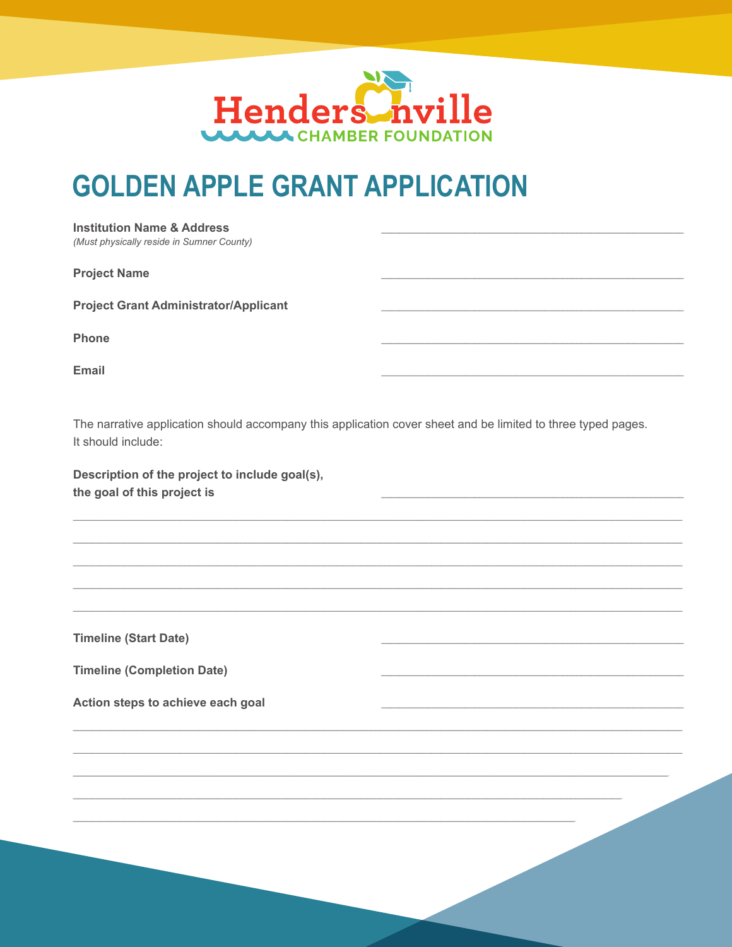

## **GOLDEN APPLE GRANT APPLICATION**

| <b>Institution Name &amp; Address</b><br>(Must physically reside in Sumner County)                                                 |  |
|------------------------------------------------------------------------------------------------------------------------------------|--|
| <b>Project Name</b>                                                                                                                |  |
| <b>Project Grant Administrator/Applicant</b>                                                                                       |  |
| Phone                                                                                                                              |  |
| <b>Email</b>                                                                                                                       |  |
| The narrative application should accompany this application cover sheet and be limited to three typed pages.<br>It should include: |  |
| Description of the project to include goal(s),<br>the goal of this project is                                                      |  |
|                                                                                                                                    |  |
|                                                                                                                                    |  |
|                                                                                                                                    |  |
| <b>Timeline (Start Date)</b>                                                                                                       |  |
| <b>Timeline (Completion Date)</b>                                                                                                  |  |
| Action steps to achieve each goal                                                                                                  |  |
|                                                                                                                                    |  |
|                                                                                                                                    |  |
|                                                                                                                                    |  |
|                                                                                                                                    |  |